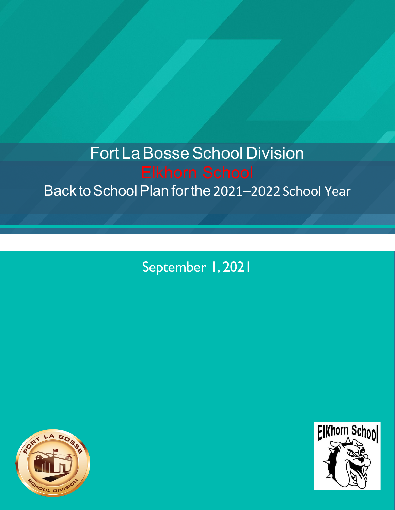# **Fort La Bosse School Division** Back to School Plan for the 2021-2022 School Year

September 1, 2021



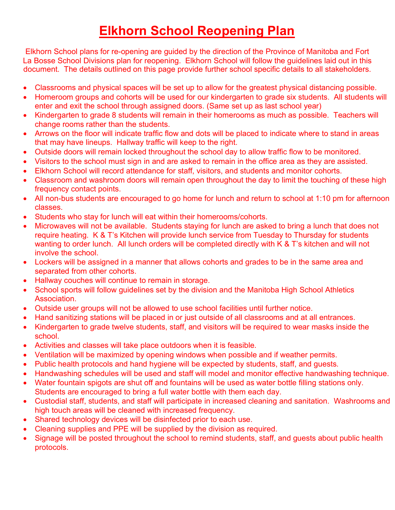# **Elkhorn School Reopening Plan**

Elkhorn School plans for re-opening are guided by the direction of the Province of Manitoba and Fort La Bosse School Divisions plan for reopening. Elkhorn School will follow the guidelines laid out in this document. The details outlined on this page provide further school specific details to all stakeholders.

- Classrooms and physical spaces will be set up to allow for the greatest physical distancing possible.
- Homeroom groups and cohorts will be used for our kindergarten to grade six students. All students will enter and exit the school through assigned doors. (Same set up as last school year)
- Kindergarten to grade 8 students will remain in their homerooms as much as possible. Teachers will change rooms rather than the students.
- Arrows on the floor will indicate traffic flow and dots will be placed to indicate where to stand in areas that may have lineups. Hallway traffic will keep to the right.
- Outside doors will remain locked throughout the school day to allow traffic flow to be monitored.
- Visitors to the school must sign in and are asked to remain in the office area as they are assisted.
- Elkhorn School will record attendance for staff, visitors, and students and monitor cohorts.
- Classroom and washroom doors will remain open throughout the day to limit the touching of these high frequency contact points.
- All non-bus students are encouraged to go home for lunch and return to school at 1:10 pm for afternoon classes.
- Students who stay for lunch will eat within their homerooms/cohorts.
- Microwaves will not be available. Students staying for lunch are asked to bring a lunch that does not require heating. K & T's Kitchen will provide lunch service from Tuesday to Thursday for students wanting to order lunch. All lunch orders will be completed directly with K & T's kitchen and will not involve the school.
- Lockers will be assigned in a manner that allows cohorts and grades to be in the same area and separated from other cohorts.
- Hallway couches will continue to remain in storage.
- School sports will follow guidelines set by the division and the Manitoba High School Athletics Association.
- Outside user groups will not be allowed to use school facilities until further notice.
- Hand sanitizing stations will be placed in or just outside of all classrooms and at all entrances.
- Kindergarten to grade twelve students, staff, and visitors will be required to wear masks inside the school.
- Activities and classes will take place outdoors when it is feasible.
- Ventilation will be maximized by opening windows when possible and if weather permits.
- Public health protocols and hand hygiene will be expected by students, staff, and guests.
- Handwashing schedules will be used and staff will model and monitor effective handwashing technique.
- Water fountain spigots are shut off and fountains will be used as water bottle filling stations only. Students are encouraged to bring a full water bottle with them each day.
- Custodial staff, students, and staff will participate in increased cleaning and sanitation. Washrooms and high touch areas will be cleaned with increased frequency.
- Shared technology devices will be disinfected prior to each use.
- Cleaning supplies and PPE will be supplied by the division as required.
- Signage will be posted throughout the school to remind students, staff, and guests about public health protocols.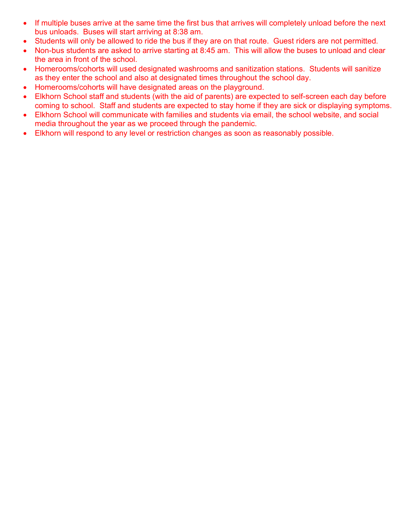- If multiple buses arrive at the same time the first bus that arrives will completely unload before the next bus unloads. Buses will start arriving at 8:38 am.
- Students will only be allowed to ride the bus if they are on that route. Guest riders are not permitted.
- Non-bus students are asked to arrive starting at 8:45 am. This will allow the buses to unload and clear the area in front of the school.
- Homerooms/cohorts will used designated washrooms and sanitization stations. Students will sanitize as they enter the school and also at designated times throughout the school day.
- Homerooms/cohorts will have designated areas on the playground.
- Elkhorn School staff and students (with the aid of parents) are expected to self-screen each day before coming to school. Staff and students are expected to stay home if they are sick or displaying symptoms.
- Elkhorn School will communicate with families and students via email, the school website, and social media throughout the year as we proceed through the pandemic.
- Elkhorn will respond to any level or restriction changes as soon as reasonably possible.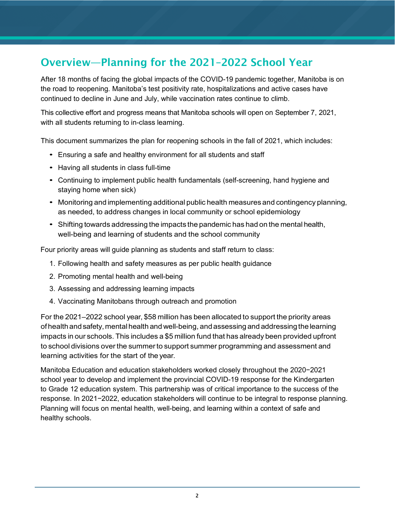# Overview—Planning for the 2021–2022 School Year

After 18 months of facing the global impacts of the COVID-19 pandemic together, Manitoba is on the road to reopening. Manitoba's test positivity rate, hospitalizations and active cases have continued to decline in June and July, while vaccination rates continue to climb.

This collective effort and progress means that Manitoba schools will open on September 7, 2021, with all students returning to in-class learning.

This document summarizes the plan for reopening schools in the fall of 2021, which includes:

- Ensuring a safe and healthy environment for all students and staff
- Having all students in class full-time
- Continuing to implement public health fundamentals (self-screening, hand hygiene and staying home when sick)
- Monitoring and implementing additional public health measures and contingency planning, as needed, to address changes in local community or school epidemiology
- Shifting towards addressing the impacts the pandemic has had on the mental health, well-being and learning of students and the school community

Four priority areas will guide planning as students and staff return to class:

- 1. Following health and safety measures as per public health guidance
- 2. Promoting mental health and well-being
- 3. Assessing and addressing learning impacts
- 4. Vaccinating Manitobans through outreach and promotion

For the 2021–2022 school year, \$58 million has been allocated to support the priority areas ofhealthandsafety,mentalhealth and well-being, andassessing and addressingthelearning impacts in our schools. This includes a \$5 million fund that has already been provided upfront to school divisions over the summerto support summer programming and assessment and learning activities for the start of the year.

Manitoba Education and education stakeholders worked closely throughout the 2020−2021 school year to develop and implement the provincial COVID-19 response for the Kindergarten to Grade 12 education system. This partnership was of critical importance to the success of the response. In 2021−2022, education stakeholders will continue to be integral to response planning. Planning will focus on mental health, well-being, and learning within a context of safe and healthy schools.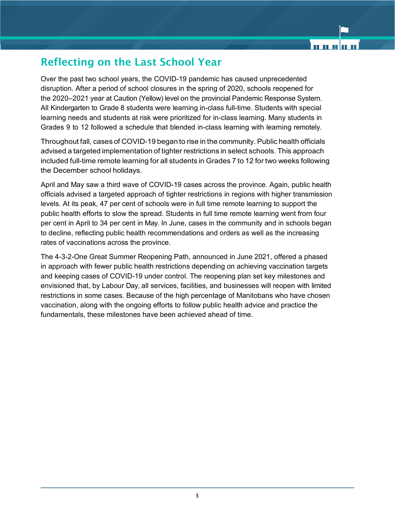## Reflecting on the Last School Year

Over the past two school years, the COVID-19 pandemic has caused unprecedented disruption. After a period of school closures in the spring of 2020, schools reopened for the 2020–2021 year at Caution (Yellow) level on the provincial Pandemic Response System. All Kindergarten to Grade 8 students were learning in-class full-time. Students with special learning needs and students at risk were prioritized for in-class learning. Many students in Grades 9 to 12 followed a schedule that blended in-class learning with learning remotely.

Throughout fall, cases of COVID-19 began to rise in the community. Public health officials advised a targeted implementation of tighter restrictions in select schools. This approach included full-time remote learning for all students in Grades 7 to 12 for two weeks following the December school holidays.

April and May saw a third wave of COVID-19 cases across the province. Again, public health officials advised a targeted approach of tighter restrictions in regions with higher transmission levels. At its peak, 47 per cent of schools were in full time remote learning to support the public health efforts to slow the spread. Students in full time remote learning went from four per cent in April to 34 per cent in May. In June, cases in the community and in schools began to decline, reflecting public health recommendations and orders as well as the increasing rates of vaccinations across the province.

The 4-3-2-One Great Summer Reopening Path, announced in June 2021, offered a phased in approach with fewer public health restrictions depending on achieving vaccination targets and keeping cases of COVID-19 under control. The reopening plan set key milestones and envisioned that, by Labour Day, all services, facilities, and businesses will reopen with limited restrictions in some cases. Because of the high percentage of Manitobans who have chosen vaccination, along with the ongoing efforts to follow public health advice and practice the fundamentals, these milestones have been achieved ahead of time.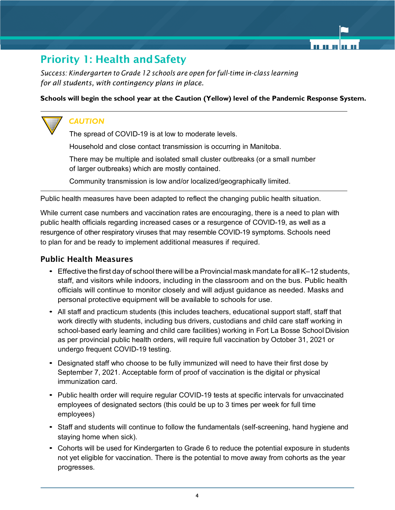# **Priority 1: Health and Safety**

*Success: Kindergarten to Grade 12 schools are open for full-time in-class learning for all students, with contingency plans in place.*

#### **Schools will begin the school year at the Caution (Yellow) level of the Pandemic Response System.**

#### *CAUTION*

The spread of COVID-19 is at low to moderate levels.

Household and close contact transmission is occurring in Manitoba.

There may be multiple and isolated small cluster outbreaks (or a small number of larger outbreaks) which are mostly contained.

Community transmission is low and/or localized/geographically limited.

Public health measures have been adapted to reflect the changing public health situation.

While current case numbers and vaccination rates are encouraging, there is a need to plan with public health officials regarding increased cases or a resurgence of COVID-19, as well as a resurgence of other respiratory viruses that may resemble COVID-19 symptoms. Schools need to plan for and be ready to implement additional measures if required.

#### Public Health Measures

- $\bullet$  Effective the first day of school there will be a Provincial mask mandate for all K–12 students, staff, and visitors while indoors, including in the classroom and on the bus. Public health officials will continue to monitor closely and will adjust guidance as needed. Masks and personal protective equipment will be available to schools for use.
- All staff and practicum students (this includes teachers, educational support staff, staff that work directly with students, including bus drivers, custodians and child care staff working in school-based early learning and child care facilities) working in Fort La Bosse School Division as per provincial public health orders, will require full vaccination by October 31, 2021 or undergo frequent COVID-19 testing.
- Designated staff who choose to be fully immunized will need to have their first dose by September 7, 2021. Acceptable form of proof of vaccination is the digital or physical immunization card.
- Public health order will require reqular COVID-19 tests at specific intervals for unvaccinated employees of designated sectors (this could be up to 3 times per week for full time employees)
- Staff and students will continue to follow the fundamentals (self-screening, hand hygiene and staying home when sick).
- Cohorts will be used for Kindergarten to Grade 6 to reduce the potential exposure in students not yet eligible for vaccination. There is the potential to move away from cohorts as the year progresses.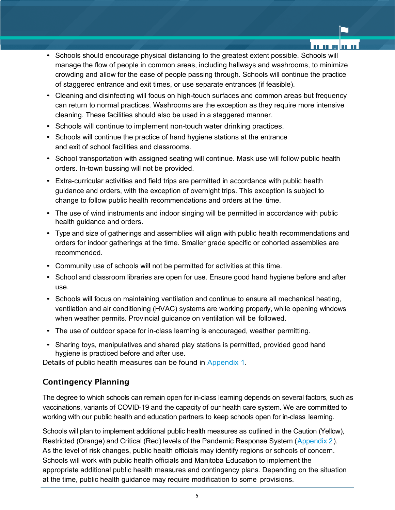- Schools should encourage physical distancing to the greatest extent possible. Schools will manage the flow of people in common areas, including hallways and washrooms, to minimize crowding and allow for the ease of people passing through. Schools will continue the practice of staggered entrance and exit times, or use separate entrances (if feasible).
- Cleaning and disinfecting will focus on high-touch surfaces and common areas but frequency can return to normal practices. Washrooms are the exception as they require more intensive cleaning. These facilities should also be used in a staggered manner.
- Schools will continue to implement non-touch water drinking practices.
- Schools will continue the practice of hand hygiene stations at the entrance and exit of school facilities and classrooms.
- School transportation with assigned seating will continue. Mask use will follow public health orders. In-town bussing will not be provided.
- Extra-curricular activities and field trips are permitted in accordance with public health guidance and orders, with the exception of overnight trips. This exception is subject to change to follow public health recommendations and orders at the time.
- The use of wind instruments and indoor singing will be permitted in accordance with public health guidance and orders.
- Type and size of gatherings and assemblies will align with public health recommendations and orders for indoor gatherings at the time. Smaller grade specific or cohorted assemblies are recommended.
- Community use of schools will not be permitted for activities at this time.
- School and classroom libraries are open for use. Ensure good hand hygiene before and after use.
- Schools will focus on maintaining ventilation and continue to ensure all mechanical heating, ventilation and air conditioning (HVAC) systems are working properly, while opening windows when weather permits. Provincial guidance on ventilation will be followed.
- The use of outdoor space for in-class learning is encouraged, weather permitting.
- Sharing toys, manipulatives and shared play stations is permitted, provided good hand hygiene is practiced before and after use.

Details of public health measures can be found in Appendix 1.

#### Contingency Planning

The degree to which schools can remain open for in-class learning depends on several factors, such as vaccinations, variants of COVID-19 and the capacity of our health care system. We are committed to working with our public health and education partners to keep schools open for in-class learning.

Schools will plan to implement additional public health measures as outlined in the Caution (Yellow), Restricted (Orange) and Critical (Red) levels of the Pandemic Response System (Appendix 2). As the level of risk changes, public health officials may identify regions or schools of concern. Schools will work with public health officials and Manitoba Education to implement the appropriate additional public health measures and contingency plans. Depending on the situation at the time, public health guidance may require modification to some provisions.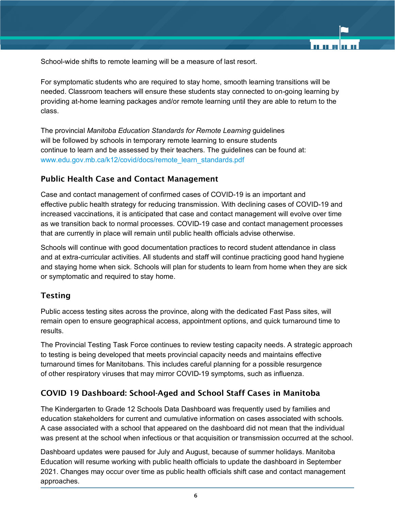School-wide shifts to remote learning will be a measure of last resort.

For symptomatic students who are required to stay home, smooth learning transitions will be needed. Classroom teachers will ensure these students stay connected to on-going learning by providing at-home learning packages and/or remote learning until they are able to return to the class.

The provincial *Manitoba Education Standards for Remote Learning* guidelines will be followed by schools in temporary remote learning to ensure students continue to learn and be assessed by their teachers. The guidelines can be found at: www.edu.gov.mb.ca/k12/covid/docs/remote\_learn\_standards.pdf

#### Public Health Case and Contact Management

Case and contact management of confirmed cases of COVID-19 is an important and effective public health strategy for reducing transmission. With declining cases of COVID-19 and increased vaccinations, it is anticipated that case and contact management will evolve over time as we transition back to normal processes. COVID-19 case and contact management processes that are currently in place will remain until public health officials advise otherwise.

Schools will continue with good documentation practices to record student attendance in class and at extra-curricular activities. All students and staff will continue practicing good hand hygiene and staying home when sick. Schools will plan for students to learn from home when they are sick or symptomatic and required to stay home.

#### Testing

Public access testing sites across the province, along with the dedicated Fast Pass sites, will remain open to ensure geographical access, appointment options, and quick turnaround time to results.

The Provincial Testing Task Force continues to review testing capacity needs. A strategic approach to testing is being developed that meets provincial capacity needs and maintains effective turnaround times for Manitobans. This includes careful planning for a possible resurgence of other respiratory viruses that may mirror COVID-19 symptoms, such as influenza.

#### COVID 19 Dashboard: School-Aged and School Staff Cases in Manitoba

The Kindergarten to Grade 12 Schools Data Dashboard was frequently used by families and education stakeholders for current and cumulative information on cases associated with schools. A case associated with a school that appeared on the dashboard did not mean that the individual was present at the school when infectious or that acquisition or transmission occurred at the school.

Dashboard updates were paused for July and August, because of summer holidays. Manitoba Education will resume working with public health officials to update the dashboard in September 2021. Changes may occur over time as public health officials shift case and contact management approaches.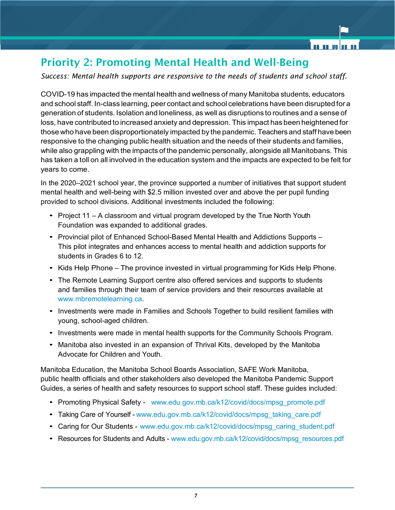# Priority 2: Promoting Mental Health and Well-Being

*Success: Mental health supports are responsive to the needs of students and school staff.*

COVID-19 has impacted the mental health and wellness of many Manitoba students, educators and school staff. In-class learning, peer contact and school celebrations have been disrupted for a generation of students. Isolation and loneliness, as well as disruptions to routines and a sense of loss, have contributed to increased anxiety and depression. This impact has been heightened for those who have been disproportionately impacted by the pandemic. Teachers and staff have been responsive to the changing public health situation and the needs of their students and families, while also grappling with the impacts of the pandemic personally, alongside all Manitobans. This has taken a toll on all involved in the education system and the impacts are expected to be felt for years to come.

In the 2020–2021 school year, the province supported a number of initiatives that support student mental health and well-being with \$2.5 million invested over and above the per pupil funding provided to school divisions. Additional investments included the following:

- Project 11 A classroom and virtual program developed by the True North Youth Foundation was expanded to additional grades.
- Provincial pilot of Enhanced School-Based Mental Health and Addictions Supports This pilot integrates and enhances access to mental health and addiction supports for students in Grades 6 to 12.
- Kids Help Phone The province invested in virtual programming for Kids Help Phone.
- The Remote Learning Support centre also offered services and supports to students and families through their team of service providers and their resources available at www.mbremotelearning.ca.
- Investments were made in Families and Schools Together to build resilient families with young, school-aged children.
- Investments were made in mental health supports for the Community Schools Program.
- Manitoba also invested in an expansion of Thrival Kits, developed by the Manitoba Advocate for Children and Youth.

Manitoba Education, the Manitoba School Boards Association, SAFE Work Manitoba, public health officials and other stakeholders also developed the Manitoba Pandemic Support Guides, a series of health and safety resources to support school staff. These guides included:

- Promoting Physical Safety www.edu.gov.mb.ca/k12/covid/docs/mpsg\_promote.pdf
- Taking Care of Yourself www.edu.gov.mb.ca/k12/covid/docs/mpsg\_taking\_care.pdf
- Caring for Our Students www.edu.gov.mb.ca/k12/covid/docs/mpsg\_caring\_student.pdf
- Resources for Students and Adults www.edu.gov.mb.ca/k12/covid/docs/mpsg\_resources.pdf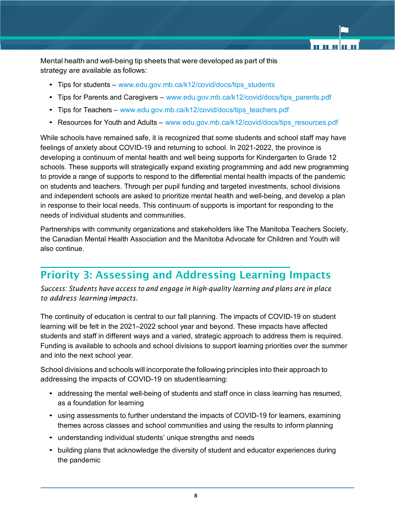Mental health and well-being tip sheets that were developed as part of this strategy are available as follows:

- Tips for students www.edu.gov.mb.ca/k12/covid/docs/tips\_students
- Tips for Parents and Caregivers www.edu.gov.mb.ca/k12/covid/docs/tips\_parents.pdf
- Tips for Teachers www.edu.gov.mb.ca/k12/covid/docs/tips\_teachers.pdf
- Resources for Youth and Adults www.edu.gov.mb.ca/k12/covid/docs/tips\_resources.pdf

While schools have remained safe, it is recognized that some students and school staff may have feelings of anxiety about COVID-19 and returning to school. In 2021-2022, the province is developing a continuum of mental health and well being supports for Kindergarten to Grade 12 schools. These supports will strategically expand existing programming and add new programming to provide a range of supports to respond to the differential mental health impacts of the pandemic on students and teachers. Through per pupil funding and targeted investments, school divisions and independent schools are asked to prioritize mental health and well-being, and develop a plan in response to their local needs. This continuum of supports is important for responding to the needs of individual students and communities.

Partnerships with community organizations and stakeholders like The Manitoba Teachers Society, the Canadian Mental Health Association and the Manitoba Advocate for Children and Youth will also continue.

## Priority 3: Assessing and Addressing Learning Impacts

*Success: Students have access to and engage in high-quality learning and plans are in place to address learning impacts.*

The continuity of education is central to our fall planning. The impacts of COVID-19 on student learning will be felt in the 2021–2022 school year and beyond. These impacts have affected students and staff in different ways and a varied, strategic approach to address them is required. Funding is available to schools and school divisions to support learning priorities over the summer and into the next school year.

School divisions and schools will incorporate the following principles into their approach to addressing the impacts of COVID-19 on studentlearning:

- addressing the mental well-being of students and staff once in class learning has resumed, as a foundation for learning
- using assessments to further understand the impacts of COVID-19 for learners, examining themes across classes and school communities and using the results to inform planning
- understanding individual students' unique strengths and needs
- building plans that acknowledge the diversity of student and educator experiences during the pandemic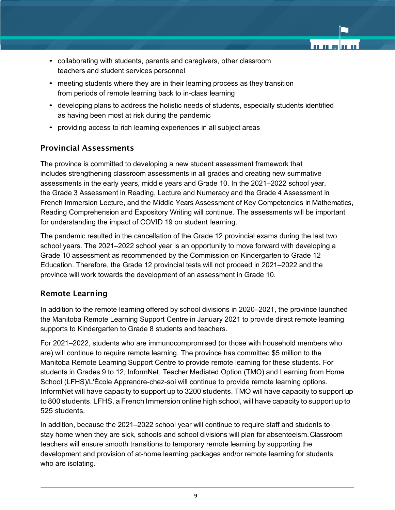- collaborating with students, parents and caregivers, other classroom teachers and student services personnel
- meeting students where they are in their learning process as they transition from periods of remote learning back to in-class learning
- developing plans to address the holistic needs of students, especially students identified as having been most at risk during the pandemic
- providing access to rich learning experiences in all subject areas

#### Provincial Assessments

The province is committed to developing a new student assessment framework that includes strengthening classroom assessments in all grades and creating new summative assessments in the early years, middle years and Grade 10. In the 2021–2022 school year, the Grade 3 Assessment in Reading, Lecture and Numeracy and the Grade 4 Assessment in French Immersion Lecture, and the Middle Years Assessment of Key Competencies in Mathematics, Reading Comprehension and Expository Writing will continue. The assessments will be important for understanding the impact of COVID 19 on student learning.

The pandemic resulted in the cancellation of the Grade 12 provincial exams during the last two school years. The 2021–2022 school year is an opportunity to move forward with developing a Grade 10 assessment as recommended by the Commission on Kindergarten to Grade 12 Education. Therefore, the Grade 12 provincial tests will not proceed in 2021–2022 and the province will work towards the development of an assessment in Grade 10.

#### Remote Learning

In addition to the remote learning offered by school divisions in 2020–2021, the province launched the Manitoba Remote Learning Support Centre in January 2021 to provide direct remote learning supports to Kindergarten to Grade 8 students and teachers.

For 2021–2022, students who are immunocompromised (or those with household members who are) will continue to require remote learning. The province has committed \$5 million to the Manitoba Remote Learning Support Centre to provide remote learning for these students. For students in Grades 9 to 12, InformNet, Teacher Mediated Option (TMO) and Learning from Home School (LFHS)/L'École Apprendre-chez-soi will continue to provide remote learning options. InformNet will have capacity to support up to 3200 students. TMO will have capacity to support up to 800 students. LFHS, a French Immersion online high school, will have capacity to support up to 525 students.

In addition, because the 2021–2022 school year will continue to require staff and students to stay home when they are sick, schools and school divisions will plan for absenteeism.Classroom teachers will ensure smooth transitions to temporary remote learning by supporting the development and provision of at-home learning packages and/or remote learning for students who are isolating.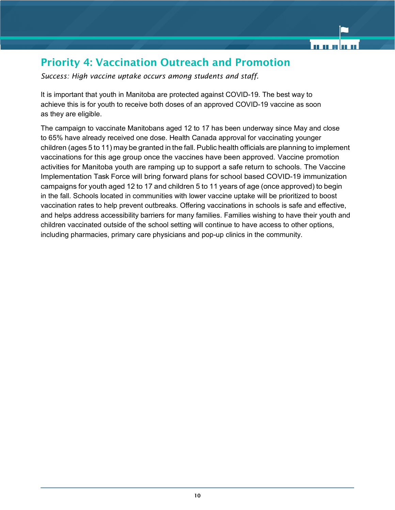# Priority 4: Vaccination Outreach and Promotion

*Success: High vaccine uptake occurs among students and staff.*

It is important that youth in Manitoba are protected against COVID-19. The best way to achieve this is for youth to receive both doses of an approved COVID-19 vaccine as soon as they are eligible.

The campaign to vaccinate Manitobans aged 12 to 17 has been underway since May and close to 65% have already received one dose. Health Canada approval for vaccinating younger children (ages 5 to 11) may be granted in the fall. Public health officials are planning to implement vaccinations for this age group once the vaccines have been approved. Vaccine promotion activities for Manitoba youth are ramping up to support a safe return to schools. The Vaccine Implementation Task Force will bring forward plans for school based COVID-19 immunization campaigns for youth aged 12 to 17 and children 5 to 11 years of age (once approved) to begin in the fall. Schools located in communities with lower vaccine uptake will be prioritized to boost vaccination rates to help prevent outbreaks. Offering vaccinations in schools is safe and effective, and helps address accessibility barriers for many families. Families wishing to have their youth and children vaccinated outside of the school setting will continue to have access to other options, including pharmacies, primary care physicians and pop-up clinics in the community.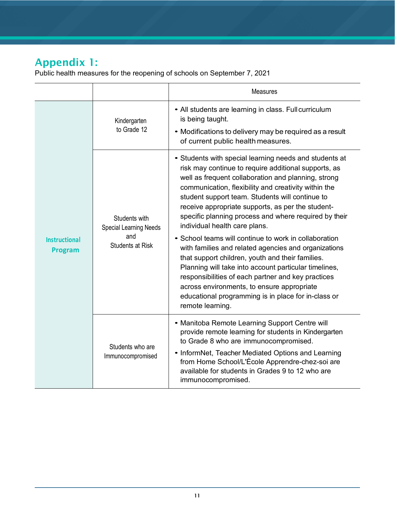# Appendix 1:

Public health measures for the reopening of schools on September 7, 2021

|                                        |                                                                                  | <b>Measures</b>                                                                                                                                                                                                                                                                                                                                                                                                                                                                                                                                                                                                                                                                                                                                                                                                                              |  |
|----------------------------------------|----------------------------------------------------------------------------------|----------------------------------------------------------------------------------------------------------------------------------------------------------------------------------------------------------------------------------------------------------------------------------------------------------------------------------------------------------------------------------------------------------------------------------------------------------------------------------------------------------------------------------------------------------------------------------------------------------------------------------------------------------------------------------------------------------------------------------------------------------------------------------------------------------------------------------------------|--|
| <b>Instructional</b><br><b>Program</b> | Kindergarten<br>to Grade 12                                                      | • All students are learning in class. Full curriculum<br>is being taught.<br>• Modifications to delivery may be required as a result<br>of current public health measures.                                                                                                                                                                                                                                                                                                                                                                                                                                                                                                                                                                                                                                                                   |  |
|                                        | Students with<br><b>Special Learning Needs</b><br>and<br><b>Students at Risk</b> | • Students with special learning needs and students at<br>risk may continue to require additional supports, as<br>well as frequent collaboration and planning, strong<br>communication, flexibility and creativity within the<br>student support team. Students will continue to<br>receive appropriate supports, as per the student-<br>specific planning process and where required by their<br>individual health care plans.<br>• School teams will continue to work in collaboration<br>with families and related agencies and organizations<br>that support children, youth and their families.<br>Planning will take into account particular timelines,<br>responsibilities of each partner and key practices<br>across environments, to ensure appropriate<br>educational programming is in place for in-class or<br>remote learning. |  |
|                                        | Students who are<br>Immunocompromised                                            | • Manitoba Remote Learning Support Centre will<br>provide remote learning for students in Kindergarten<br>to Grade 8 who are immunocompromised.<br>• InformNet, Teacher Mediated Options and Learning<br>from Home School/L'École Apprendre-chez-soi are<br>available for students in Grades 9 to 12 who are<br>immunocompromised.                                                                                                                                                                                                                                                                                                                                                                                                                                                                                                           |  |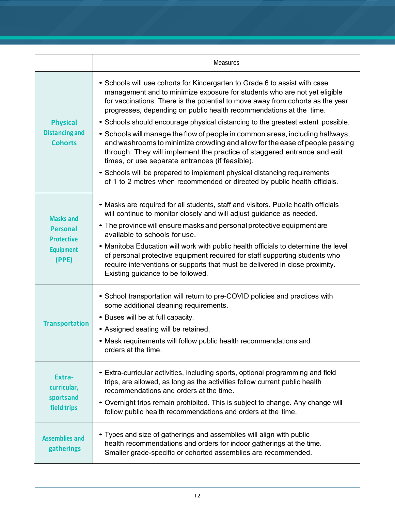|                                                                                       | <b>Measures</b>                                                                                                                                                                                                                                                                                                                                                                                                                                                                                                                                                                                                                                                                                                                                                                                                                                             |
|---------------------------------------------------------------------------------------|-------------------------------------------------------------------------------------------------------------------------------------------------------------------------------------------------------------------------------------------------------------------------------------------------------------------------------------------------------------------------------------------------------------------------------------------------------------------------------------------------------------------------------------------------------------------------------------------------------------------------------------------------------------------------------------------------------------------------------------------------------------------------------------------------------------------------------------------------------------|
| <b>Physical</b><br><b>Distancing and</b><br><b>Cohorts</b>                            | • Schools will use cohorts for Kindergarten to Grade 6 to assist with case<br>management and to minimize exposure for students who are not yet eligible<br>for vaccinations. There is the potential to move away from cohorts as the year<br>progresses, depending on public health recommendations at the time.<br>• Schools should encourage physical distancing to the greatest extent possible.<br>• Schools will manage the flow of people in common areas, including hallways,<br>and washrooms to minimize crowding and allow for the ease of people passing<br>through. They will implement the practice of staggered entrance and exit<br>times, or use separate entrances (if feasible).<br>• Schools will be prepared to implement physical distancing requirements<br>of 1 to 2 metres when recommended or directed by public health officials. |
| <b>Masks and</b><br><b>Personal</b><br><b>Protective</b><br><b>Equipment</b><br>(PPE) | • Masks are required for all students, staff and visitors. Public health officials<br>will continue to monitor closely and will adjust guidance as needed.<br>• The province will ensure masks and personal protective equipment are<br>available to schools for use.<br>• Manitoba Education will work with public health officials to determine the level<br>of personal protective equipment required for staff supporting students who<br>require interventions or supports that must be delivered in close proximity.<br>Existing guidance to be followed.                                                                                                                                                                                                                                                                                             |
| <b>Transportation</b>                                                                 | • School transportation will return to pre-COVID policies and practices with<br>some additional cleaning requirements.<br>• Buses will be at full capacity.<br>• Assigned seating will be retained.<br>• Mask requirements will follow public health recommendations and<br>orders at the time.                                                                                                                                                                                                                                                                                                                                                                                                                                                                                                                                                             |
| Extra-<br>curricular,<br>sportsand<br>field trips                                     | • Extra-curricular activities, including sports, optional programming and field<br>trips, are allowed, as long as the activities follow current public health<br>recommendations and orders at the time.<br>• Overnight trips remain prohibited. This is subject to change. Any change will<br>follow public health recommendations and orders at the time.                                                                                                                                                                                                                                                                                                                                                                                                                                                                                                 |
| <b>Assemblies and</b><br>gatherings                                                   | • Types and size of gatherings and assemblies will align with public<br>health recommendations and orders for indoor gatherings at the time.<br>Smaller grade-specific or cohorted assemblies are recommended.                                                                                                                                                                                                                                                                                                                                                                                                                                                                                                                                                                                                                                              |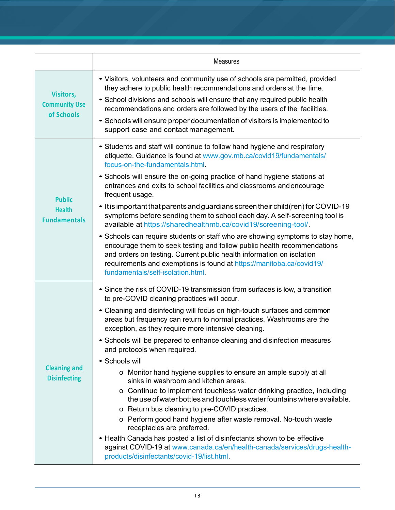|                                                        | <b>Measures</b>                                                                                                                                                                                                                                                                                                                                                                                                                                                                                                                                                                                                                                                                                                                                                                                                                                                                                                                                                                                                                                                                              |  |  |
|--------------------------------------------------------|----------------------------------------------------------------------------------------------------------------------------------------------------------------------------------------------------------------------------------------------------------------------------------------------------------------------------------------------------------------------------------------------------------------------------------------------------------------------------------------------------------------------------------------------------------------------------------------------------------------------------------------------------------------------------------------------------------------------------------------------------------------------------------------------------------------------------------------------------------------------------------------------------------------------------------------------------------------------------------------------------------------------------------------------------------------------------------------------|--|--|
| <b>Visitors,</b><br><b>Community Use</b><br>of Schools | • Visitors, volunteers and community use of schools are permitted, provided<br>they adhere to public health recommendations and orders at the time.<br>• School divisions and schools will ensure that any required public health<br>recommendations and orders are followed by the users of the facilities.<br>• Schools will ensure proper documentation of visitors is implemented to<br>support case and contact management.                                                                                                                                                                                                                                                                                                                                                                                                                                                                                                                                                                                                                                                             |  |  |
| <b>Public</b><br><b>Health</b><br><b>Fundamentals</b>  | • Students and staff will continue to follow hand hygiene and respiratory<br>etiquette. Guidance is found at www.gov.mb.ca/covid19/fundamentals/<br>focus-on-the-fundamentals.html<br>• Schools will ensure the on-going practice of hand hygiene stations at<br>entrances and exits to school facilities and classrooms and encourage<br>frequent usage.<br>• It is important that parents and guardians screen their child (ren) for COVID-19<br>symptoms before sending them to school each day. A self-screening tool is<br>available at https://sharedhealthmb.ca/covid19/screening-tool/.<br>• Schools can require students or staff who are showing symptoms to stay home,<br>encourage them to seek testing and follow public health recommendations<br>and orders on testing. Current public health information on isolation<br>requirements and exemptions is found at https://manitoba.ca/covid19/<br>fundamentals/self-isolation.html                                                                                                                                            |  |  |
| <b>Cleaning and</b><br><b>Disinfecting</b>             | • Since the risk of COVID-19 transmission from surfaces is low, a transition<br>to pre-COVID cleaning practices will occur.<br>• Cleaning and disinfecting will focus on high-touch surfaces and common<br>areas but frequency can return to normal practices. Washrooms are the<br>exception, as they require more intensive cleaning.<br>• Schools will be prepared to enhance cleaning and disinfection measures<br>and protocols when required.<br>• Schools will<br>o Monitor hand hygiene supplies to ensure an ample supply at all<br>sinks in washroom and kitchen areas.<br>o Continue to implement touchless water drinking practice, including<br>the use of water bottles and touchless water fountains where available.<br>o Return bus cleaning to pre-COVID practices.<br>o Perform good hand hygiene after waste removal. No-touch waste<br>receptacles are preferred.<br>• Health Canada has posted a list of disinfectants shown to be effective<br>against COVID-19 at www.canada.ca/en/health-canada/services/drugs-health-<br>products/disinfectants/covid-19/list.html |  |  |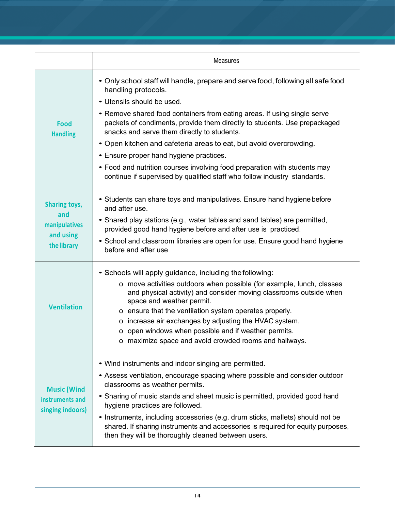|                                                           | <b>Measures</b>                                                                                                                                                                                                          |  |  |
|-----------------------------------------------------------|--------------------------------------------------------------------------------------------------------------------------------------------------------------------------------------------------------------------------|--|--|
|                                                           | • Only school staff will handle, prepare and serve food, following all safe food<br>handling protocols.<br>• Utensils should be used.<br>• Remove shared food containers from eating areas. If using single serve        |  |  |
| <b>Food</b><br><b>Handling</b>                            | packets of condiments, provide them directly to students. Use prepackaged<br>snacks and serve them directly to students.                                                                                                 |  |  |
|                                                           | • Open kitchen and cafeteria areas to eat, but avoid overcrowding.                                                                                                                                                       |  |  |
|                                                           | • Ensure proper hand hygiene practices.                                                                                                                                                                                  |  |  |
|                                                           | • Food and nutrition courses involving food preparation with students may<br>continue if supervised by qualified staff who follow industry standards.                                                                    |  |  |
| <b>Sharing toys,</b><br>and                               | • Students can share toys and manipulatives. Ensure hand hygiene before<br>and after use.                                                                                                                                |  |  |
| manipulatives                                             | • Shared play stations (e.g., water tables and sand tables) are permitted,<br>provided good hand hygiene before and after use is practiced.                                                                              |  |  |
| and using                                                 | • School and classroom libraries are open for use. Ensure good hand hygiene                                                                                                                                              |  |  |
| the library                                               | before and after use                                                                                                                                                                                                     |  |  |
|                                                           | • Schools will apply guidance, including the following:                                                                                                                                                                  |  |  |
|                                                           | o move activities outdoors when possible (for example, lunch, classes<br>and physical activity) and consider moving classrooms outside when<br>space and weather permit.                                                 |  |  |
| <b>Ventilation</b>                                        | o ensure that the ventilation system operates properly.                                                                                                                                                                  |  |  |
|                                                           | o increase air exchanges by adjusting the HVAC system.                                                                                                                                                                   |  |  |
|                                                           | o open windows when possible and if weather permits.<br>o maximize space and avoid crowded rooms and hallways.                                                                                                           |  |  |
|                                                           | • Wind instruments and indoor singing are permitted.                                                                                                                                                                     |  |  |
| <b>Music (Wind</b><br>instruments and<br>singing indoors) | • Assess ventilation, encourage spacing where possible and consider outdoor<br>classrooms as weather permits.                                                                                                            |  |  |
|                                                           | • Sharing of music stands and sheet music is permitted, provided good hand<br>hygiene practices are followed.                                                                                                            |  |  |
|                                                           | • Instruments, including accessories (e.g. drum sticks, mallets) should not be<br>shared. If sharing instruments and accessories is required for equity purposes,<br>then they will be thoroughly cleaned between users. |  |  |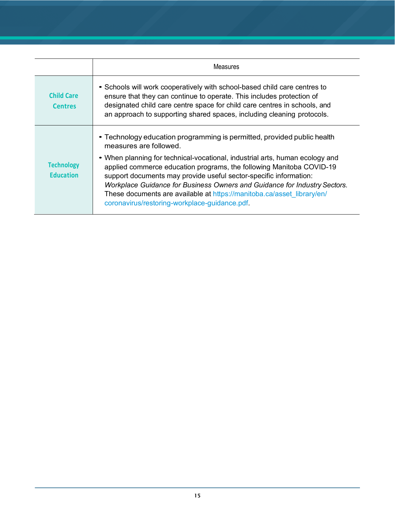|                                       | <b>Measures</b>                                                                                                                                                                                                                                                                                                                                                                                                                   |  |  |
|---------------------------------------|-----------------------------------------------------------------------------------------------------------------------------------------------------------------------------------------------------------------------------------------------------------------------------------------------------------------------------------------------------------------------------------------------------------------------------------|--|--|
| <b>Child Care</b><br><b>Centres</b>   | • Schools will work cooperatively with school-based child care centres to<br>ensure that they can continue to operate. This includes protection of<br>designated child care centre space for child care centres in schools, and<br>an approach to supporting shared spaces, including cleaning protocols.                                                                                                                         |  |  |
|                                       | • Technology education programming is permitted, provided public health<br>measures are followed.                                                                                                                                                                                                                                                                                                                                 |  |  |
| <b>Technology</b><br><b>Education</b> | • When planning for technical-vocational, industrial arts, human ecology and<br>applied commerce education programs, the following Manitoba COVID-19<br>support documents may provide useful sector-specific information:<br>Workplace Guidance for Business Owners and Guidance for Industry Sectors.<br>These documents are available at https://manitoba.ca/asset library/en/<br>coronavirus/restoring-workplace-guidance.pdf. |  |  |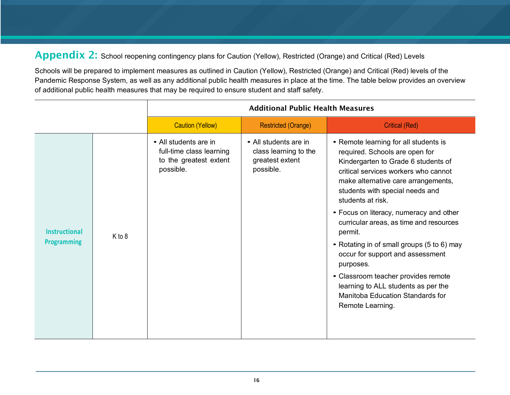Appendix 2: School reopening contingency plans for Caution (Yellow), Restricted (Orange) and Critical (Red) Levels

Schools will be prepared to implement measures as outlined in Caution (Yellow), Restricted (Orange) and Critical (Red) levels of the Pandemic Response System, as well as any additional public health measures in place at the time. The table below provides an overview of additional public health measures that may be required to ensure student and staff safety.

|                                            |        | <b>Additional Public Health Measures</b>                                                 |                                                                                |                                                                                                                                                                                                                                                                                                                                                                                                                                                                                                                                                                                             |  |
|--------------------------------------------|--------|------------------------------------------------------------------------------------------|--------------------------------------------------------------------------------|---------------------------------------------------------------------------------------------------------------------------------------------------------------------------------------------------------------------------------------------------------------------------------------------------------------------------------------------------------------------------------------------------------------------------------------------------------------------------------------------------------------------------------------------------------------------------------------------|--|
|                                            |        | <b>Caution (Yellow)</b>                                                                  | <b>Restricted (Orange)</b>                                                     | <b>Critical (Red)</b>                                                                                                                                                                                                                                                                                                                                                                                                                                                                                                                                                                       |  |
| <b>Instructional</b><br><b>Programming</b> | K to 8 | • All students are in<br>full-time class learning<br>to the greatest extent<br>possible. | • All students are in<br>class learning to the<br>greatest extent<br>possible. | • Remote learning for all students is<br>required. Schools are open for<br>Kindergarten to Grade 6 students of<br>critical services workers who cannot<br>make alternative care arrangements,<br>students with special needs and<br>students at risk.<br>• Focus on literacy, numeracy and other<br>curricular areas, as time and resources<br>permit.<br>• Rotating in of small groups (5 to 6) may<br>occur for support and assessment<br>purposes.<br>• Classroom teacher provides remote<br>learning to ALL students as per the<br>Manitoba Education Standards for<br>Remote Learning. |  |
|                                            |        |                                                                                          |                                                                                |                                                                                                                                                                                                                                                                                                                                                                                                                                                                                                                                                                                             |  |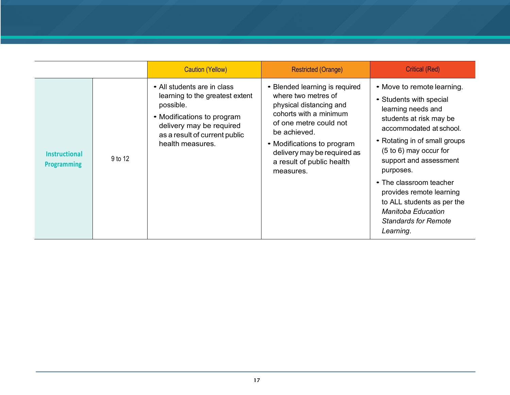|                                            |         | <b>Caution (Yellow)</b>                                                                                                                                                                    | <b>Restricted (Orange)</b>                                                                                                                                                                                                                                  | <b>Critical (Red)</b>                                                                                                                                                                                                                                                                                                                                                                               |
|--------------------------------------------|---------|--------------------------------------------------------------------------------------------------------------------------------------------------------------------------------------------|-------------------------------------------------------------------------------------------------------------------------------------------------------------------------------------------------------------------------------------------------------------|-----------------------------------------------------------------------------------------------------------------------------------------------------------------------------------------------------------------------------------------------------------------------------------------------------------------------------------------------------------------------------------------------------|
| <b>Instructional</b><br><b>Programming</b> | 9 to 12 | • All students are in class<br>learning to the greatest extent<br>possible.<br>• Modifications to program<br>delivery may be required<br>as a result of current public<br>health measures. | • Blended learning is required<br>where two metres of<br>physical distancing and<br>cohorts with a minimum<br>of one metre could not<br>be achieved.<br>• Modifications to program<br>delivery may be required as<br>a result of public health<br>measures. | • Move to remote learning.<br>• Students with special<br>learning needs and<br>students at risk may be<br>accommodated at school.<br>• Rotating in of small groups<br>$(5 to 6)$ may occur for<br>support and assessment<br>purposes.<br>• The classroom teacher<br>provides remote learning<br>to ALL students as per the<br><b>Manitoba Education</b><br><b>Standards for Remote</b><br>Learning. |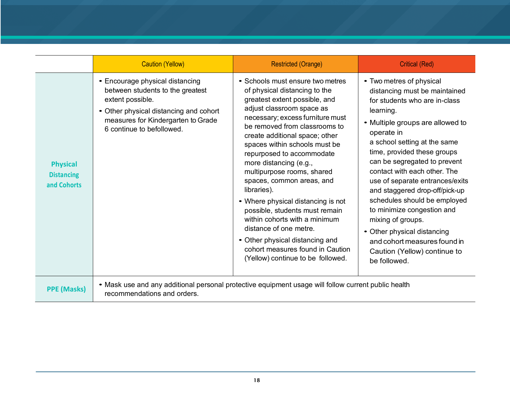|                                                     | <b>Caution (Yellow)</b>                                                                                                                                                                              | <b>Restricted (Orange)</b>                                                                                                                                                                                                                                                                                                                                                                                                                                                                                                                                                                                                                              | <b>Critical (Red)</b>                                                                                                                                                                                                                                                                                                                                                                                                                                                                                                                                           |  |
|-----------------------------------------------------|------------------------------------------------------------------------------------------------------------------------------------------------------------------------------------------------------|---------------------------------------------------------------------------------------------------------------------------------------------------------------------------------------------------------------------------------------------------------------------------------------------------------------------------------------------------------------------------------------------------------------------------------------------------------------------------------------------------------------------------------------------------------------------------------------------------------------------------------------------------------|-----------------------------------------------------------------------------------------------------------------------------------------------------------------------------------------------------------------------------------------------------------------------------------------------------------------------------------------------------------------------------------------------------------------------------------------------------------------------------------------------------------------------------------------------------------------|--|
| <b>Physical</b><br><b>Distancing</b><br>and Cohorts | • Encourage physical distancing<br>between students to the greatest<br>extent possible.<br>• Other physical distancing and cohort<br>measures for Kindergarten to Grade<br>6 continue to befollowed. | • Schools must ensure two metres<br>of physical distancing to the<br>greatest extent possible, and<br>adjust classroom space as<br>necessary; excess furniture must<br>be removed from classrooms to<br>create additional space; other<br>spaces within schools must be<br>repurposed to accommodate<br>more distancing (e.g.,<br>multipurpose rooms, shared<br>spaces, common areas, and<br>libraries).<br>• Where physical distancing is not<br>possible, students must remain<br>within cohorts with a minimum<br>distance of one metre.<br>• Other physical distancing and<br>cohort measures found in Caution<br>(Yellow) continue to be followed. | • Two metres of physical<br>distancing must be maintained<br>for students who are in-class<br>learning.<br>• Multiple groups are allowed to<br>operate in<br>a school setting at the same<br>time, provided these groups<br>can be segregated to prevent<br>contact with each other. The<br>use of separate entrances/exits<br>and staggered drop-off/pick-up<br>schedules should be employed<br>to minimize congestion and<br>mixing of groups.<br>• Other physical distancing<br>and cohort measures found in<br>Caution (Yellow) continue to<br>be followed. |  |
| <b>PPE (Masks)</b>                                  | • Mask use and any additional personal protective equipment usage will follow current public health<br>recommendations and orders.                                                                   |                                                                                                                                                                                                                                                                                                                                                                                                                                                                                                                                                                                                                                                         |                                                                                                                                                                                                                                                                                                                                                                                                                                                                                                                                                                 |  |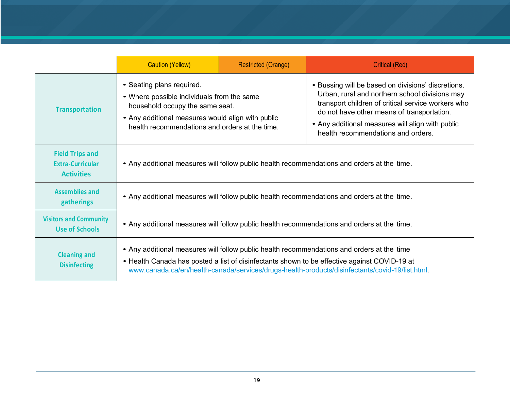|                                                                        | <b>Caution (Yellow)</b>                                                                                                                                                                                                                                                                      | <b>Restricted (Orange)</b> | <b>Critical (Red)</b>                                                                                                                                                                                                                                                                              |  |
|------------------------------------------------------------------------|----------------------------------------------------------------------------------------------------------------------------------------------------------------------------------------------------------------------------------------------------------------------------------------------|----------------------------|----------------------------------------------------------------------------------------------------------------------------------------------------------------------------------------------------------------------------------------------------------------------------------------------------|--|
| <b>Transportation</b>                                                  | • Seating plans required.<br>• Where possible individuals from the same<br>household occupy the same seat.<br>• Any additional measures would align with public<br>health recommendations and orders at the time.                                                                            |                            | • Bussing will be based on divisions' discretions.<br>Urban, rural and northern school divisions may<br>transport children of critical service workers who<br>do not have other means of transportation.<br>• Any additional measures will align with public<br>health recommendations and orders. |  |
| <b>Field Trips and</b><br><b>Extra-Curricular</b><br><b>Activities</b> | • Any additional measures will follow public health recommendations and orders at the time.                                                                                                                                                                                                  |                            |                                                                                                                                                                                                                                                                                                    |  |
| <b>Assemblies and</b><br>gatherings                                    | • Any additional measures will follow public health recommendations and orders at the time.                                                                                                                                                                                                  |                            |                                                                                                                                                                                                                                                                                                    |  |
| <b>Visitors and Community</b><br><b>Use of Schools</b>                 | • Any additional measures will follow public health recommendations and orders at the time.                                                                                                                                                                                                  |                            |                                                                                                                                                                                                                                                                                                    |  |
| <b>Cleaning and</b><br><b>Disinfecting</b>                             | • Any additional measures will follow public health recommendations and orders at the time<br>• Health Canada has posted a list of disinfectants shown to be effective against COVID-19 at<br>www.canada.ca/en/health-canada/services/drugs-health-products/disinfectants/covid-19/list.html |                            |                                                                                                                                                                                                                                                                                                    |  |